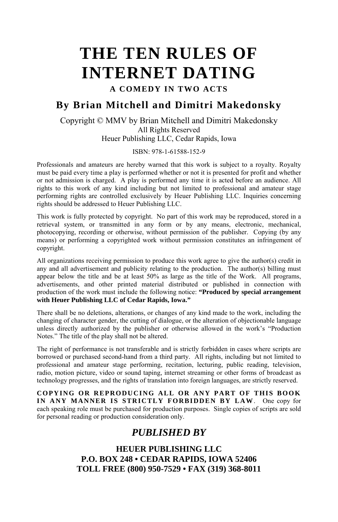# **THE TEN RULES OF INTERNET DATING A COMEDY IN TWO ACTS**

## **By Brian Mitchell and Dimitri Makedonsky**

#### Copyright © MMV by Brian Mitchell and Dimitri Makedonsky All Rights Reserved Heuer Publishing LLC, Cedar Rapids, Iowa

#### ISBN: 978-1-61588-152-9

Professionals and amateurs are hereby warned that this work is subject to a royalty. Royalty must be paid every time a play is performed whether or not it is presented for profit and whether or not admission is charged. A play is performed any time it is acted before an audience. All rights to this work of any kind including but not limited to professional and amateur stage performing rights are controlled exclusively by Heuer Publishing LLC. Inquiries concerning rights should be addressed to Heuer Publishing LLC.

This work is fully protected by copyright. No part of this work may be reproduced, stored in a retrieval system, or transmitted in any form or by any means, electronic, mechanical, photocopying, recording or otherwise, without permission of the publisher. Copying (by any means) or performing a copyrighted work without permission constitutes an infringement of copyright.

All organizations receiving permission to produce this work agree to give the author(s) credit in any and all advertisement and publicity relating to the production. The author(s) billing must appear below the title and be at least 50% as large as the title of the Work. All programs, advertisements, and other printed material distributed or published in connection with production of the work must include the following notice: **"Produced by special arrangement with Heuer Publishing LLC of Cedar Rapids, Iowa."**

There shall be no deletions, alterations, or changes of any kind made to the work, including the changing of character gender, the cutting of dialogue, or the alteration of objectionable language unless directly authorized by the publisher or otherwise allowed in the work's "Production Notes." The title of the play shall not be altered.

The right of performance is not transferable and is strictly forbidden in cases where scripts are borrowed or purchased second-hand from a third party. All rights, including but not limited to professional and amateur stage performing, recitation, lecturing, public reading, television, radio, motion picture, video or sound taping, internet streaming or other forms of broadcast as technology progresses, and the rights of translation into foreign languages, are strictly reserved.

**COPYING OR REPRODUCING ALL OR ANY PART OF THIS BOOK IN ANY MANNER IS STRICTLY FORBIDDEN BY LAW**. One copy for each speaking role must be purchased for production purposes. Single copies of scripts are sold for personal reading or production consideration only.

### *PUBLISHED BY*

**HEUER PUBLISHING LLC P.O. BOX 248 • CEDAR RAPIDS, IOWA 52406 TOLL FREE (800) 950-7529 • FAX (319) 368-8011**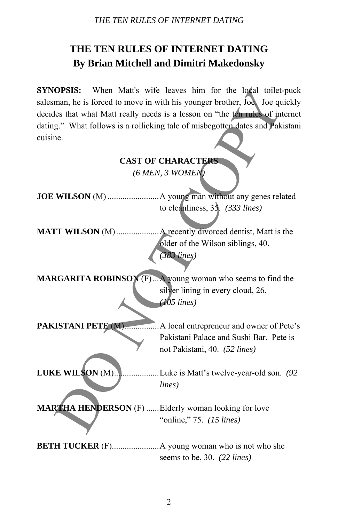## **THE TEN RULES OF INTERNET DATING By Brian Mitchell and Dimitri Makedonsky**

**SYNOPSIS:** When Matt's wife leaves him for the local toilet-puck salesman, he is forced to move in with his younger brother, Joe. Joe quickly decides that what Matt really needs is a lesson on "the ten rules of internet dating." What follows is a rollicking tale of misbegotten dates and Pakistani cuisine.

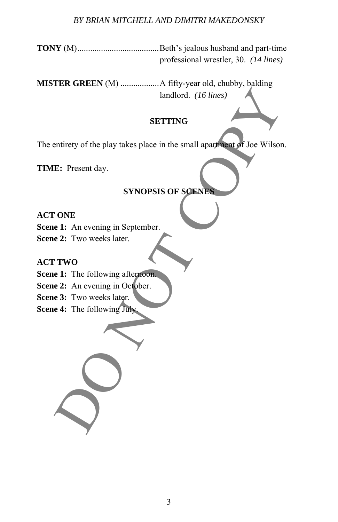#### *BY BRIAN MITCHELL AND DIMITRI MAKEDONSKY*

**TONY** (M)......................................Beth's jealous husband and part-time professional wrestler, 30. *(14 lines)* 

**MISTER GREEN** (M) ..................A fifty-year old, chubby, balding landlord. *(16 lines)*  andlord. (16 lines)<br>
SETTING<br>
SETTING<br>
E: Present day.<br>
SYNOPSIS OF SOENES<br>
ONE<br>
e 1: An evening in September.<br>
TWO<br>
e 1: The following afternoon<br>
e 3: Two weeks later.<br>
4: The following afternoon<br>
4: The following July

#### **SETTING**

The entirety of the play takes place in the small apartment of Joe Wilson.

**TIME:** Present day.

## **SYNOPSIS OF SCENES**

#### **ACT ONE**

**Scene 1:** An evening in September.

**Scene 2:** Two weeks later.

#### **ACT TWO**

#### **Scene 1:** The following afternoon.

- **Scene 2:** An evening in October.
- **Scene 3:** Two weeks later.
- **Scene 4:** The following July.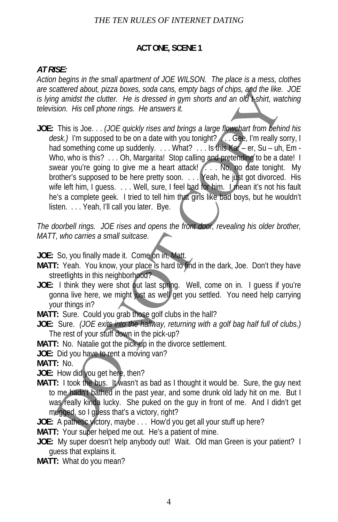#### **ACT ONE, SCENE 1**

#### *AT RISE:*

*Action begins in the small apartment of JOE WILSON. The place is a mess, clothes are scattered about, pizza boxes, soda cans, empty bags of chips, and the like. JOE is lying amidst the clutter. He is dressed in gym shorts and an old t-shirt, watching television. His cell phone rings. He answers it.* 

**JOE:** This is Joe. . . *(JOE quickly rises and brings a large flowchart from behind his*  desk.) I'm supposed to be on a date with you tonight? . . Gee, I'm really sorry, I had something come up suddenly. . . . What? . . . Is this Kar – er, Su – uh, Em -Who, who is this? . . . Oh, Margarita! Stop calling and pretending to be a date! I swear you're going to give me a heart attack! . . . No, no date tonight. My brother's supposed to be here pretty soon. . . . Yeah, he just got divorced. His wife left him, I guess. . . . Well, sure, I feel bad for him. I mean it's not his fault he's a complete geek. I tried to tell him that girls like bad boys, but he wouldn't listen. ... Yeah, I'll call you later. Bye. caltered about, pizza boxes, soda cans, empty bags of chips, and the like<br>or anomic tell the culter. He is dressed in gym shorts and an old Nshirt, wat<br>sion. His cell phone rings. He answers it.<br>This is Joe... (*IOE quick* 

*The doorbell rings. JOE rises and opens the front door, revealing his older brother, MATT, who carries a small suitcase.*

**JOE:** So, you finally made it. Come on in, Matt.

- **MATT:** Yeah. You know, your place is hard to find in the dark, Joe. Don't they have streetlights in this neighborhood?
- JOE: I think they were shot out last spring. Well, come on in. I guess if you're gonna live here, we might just as well get you settled. You need help carrying your things in?
- **MATT:** Sure. Could you grab those golf clubs in the hall?
- **JOE:** Sure. *(JOE exits into the hallway, returning with a golf bag half full of clubs.)*  The rest of your stuff down in the pick-up?
- **MATT:** No. Natalie got the pick-up in the divorce settlement.
- **JOE:** Did you have to rent a moving van?
- **MATT:** No.
- **JOE:** How did you get here, then?
- **MATT:** I took the bus. It wasn't as bad as I thought it would be. Sure, the guy next to me hadn't bathed in the past year, and some drunk old lady hit on me. But I was really kinda lucky. She puked on the guy in front of me. And I didn't get mugged, so I guess that's a victory, right?

**JOE:** A pathetic victory, maybe . . . How'd you get all your stuff up here?

**MATT:** Your super helped me out. He's a patient of mine.

**JOE:** My super doesn't help anybody out! Wait. Old man Green is your patient? I guess that explains it.

**MATT:** What do you mean?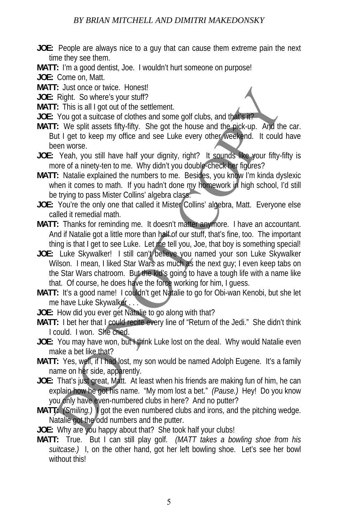**JOE:** People are always nice to a guy that can cause them extreme pain the next time they see them.

**MATT:** I'm a good dentist, Joe. I wouldn't hurt someone on purpose!

**JOE:** Come on, Matt.

**MATT:** Just once or twice. Honest!

**JOE:** Right. So where's your stuff?

**MATT:** This is all I got out of the settlement.

**JOE:** You got a suitcase of clothes and some golf clubs, and that's it?

- **MATT:** We split assets fifty-fifty. She got the house and the pick-up. And the car. But I get to keep my office and see Luke every other weekend. It could have been worse.
- **JOE:** Yeah, you still have half your dignity, right? It sounds like your fifty-fifty is more of a ninety-ten to me. Why didn't you double-check her figures?
- **MATT:** Natalie explained the numbers to me. Besides, you know I'm kinda dyslexic when it comes to math. If you hadn't done my homework in high school, I'd still be trying to pass Mister Collins' algebra class.
- **JOE:** You're the only one that called it Mister Collins' algebra, Matt. Everyone else called it remedial math.
- **MATT:** Thanks for reminding me. It doesn't matter anymore. I have an accountant. And if Natalie got a little more than half of our stuff, that's fine, too. The important thing is that I get to see Luke. Let me tell you, Joe, that boy is something special!
- JOE: Luke Skywalker! I still can't believe you named your son Luke Skywalker Wilson. I mean, I liked Star Wars as much as the next guy; I even keep tabs on the Star Wars chatroom. But the kid's going to have a tough life with a name like that. Of course, he does have the force working for him, I guess. is unce to twice. Homes and some politically and the state of the state of the state of the state of colonicate of colonicate of colonicate of colonicate of colonicate of the state of the state of the state of the state of
- **MATT:** It's a good name! I couldn't get Natalie to go for Obi-wan Kenobi, but she let me have Luke Skywalker . . .
- **JOE:** How did you ever get Natalie to go along with that?
- **MATT:** I bet her that I could recite every line of "Return of the Jedi." She didn't think I could. I won. She cried.
- JOE: You may have won, but I think Luke lost on the deal. Why would Natalie even make a bet like that?
- MATT: Yes, well, if I had lost, my son would be named Adolph Eugene. It's a family name on her side, apparently.
- JOE: That's just great, Matt. At least when his friends are making fun of him, he can explain how he got his name. "My mom lost a bet." *(Pause.)* Hey! Do you know you only have even-numbered clubs in here? And no putter?
- **MATT:** *(Smiling.)* I got the even numbered clubs and irons, and the pitching wedge. Natalie got the odd numbers and the putter.
- **JOE:** Why are you happy about that? She took half your clubs!
- **MATT:** True. But I can still play golf. *(MATT takes a bowling shoe from his suitcase.)* I, on the other hand, got her left bowling shoe. Let's see her bowl without this!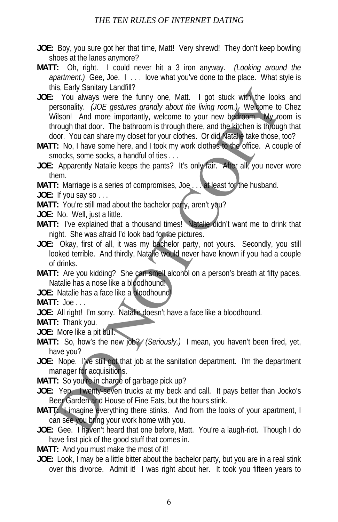- **JOE:** Boy, you sure got her that time, Matt! Very shrewd! They don't keep bowling shoes at the lanes anymore?
- **MATT:** Oh, right. I could never hit a 3 iron anyway. *(Looking around the apartment.)* Gee, Joe. I . . . love what you've done to the place. What style is this, Early Sanitary Landfill?
- **JOE:** You always were the funny one, Matt. I got stuck with the looks and personality. *(JOE gestures grandly about the living room.)* Welcome to Chez Wilson! And more importantly, welcome to your new bedroom. My room is through that door. The bathroom is through there, and the kitchen is through that door. You can share my closet for your clothes. Or did Natalie take those, too? Instanting Latitum<br>In Social Manuscriptics of the standing the set and column to be the controllation and more importantly, welcome to your new better<br>or to the find of the controllation. We can be the final of the final o
- **MATT:** No, I have some here, and I took my work clothes to the office. A couple of smocks, some socks, a handful of ties . . .
- **JOE:** Apparently Natalie keeps the pants? It's only fair. After all, you never wore them.

**MATT:** Marriage is a series of compromises, Joe . . . at least for the husband.

**JOE:** If you say so . . .

MATT: You're still mad about the bachelor party, aren't you?

**JOE:** No. Well, just a little.

- **MATT:** I've explained that a thousand times! Natalie didn't want me to drink that night. She was afraid I'd look bad for the pictures.
- **JOE:** Okay, first of all, it was my bachelor party, not yours. Secondly, you still looked terrible. And thirdly, Natalie would never have known if you had a couple of drinks.
- MATT: Are you kidding? She can smell alcohol on a person's breath at fifty paces. Natalie has a nose like a bloodhound!

**JOE:** Natalie has a face like a bloodhound!

**MATT:** Joe . . .

**JOE:** All right! I'm sorry. Natalie doesn't have a face like a bloodhound.

**MATT:** Thank you.

**JOE:** More like a pit bull.

- **MATT:** So, how's the new job?/ (Seriously.) I mean, you haven't been fired, yet, have you?
- **JOE:** Nope. I've still got that job at the sanitation department. I'm the department manager for acquisitions.

**MATT:** So you're in charge of garbage pick up?

**JOE:** Yep. Twenty-seven trucks at my beck and call. It pays better than Jocko's Beer Garden and House of Fine Eats, but the hours stink.

- **MATT:** I imagine everything there stinks. And from the looks of your apartment, I can see you bring your work home with you.
- **JOE:** Gee. I haven't heard that one before, Matt. You're a laugh-riot. Though I do have first pick of the good stuff that comes in.

**MATT:** And you must make the most of it!

JOE: Look, I may be a little bitter about the bachelor party, but you are in a real stink over this divorce. Admit it! I was right about her. It took you fifteen years to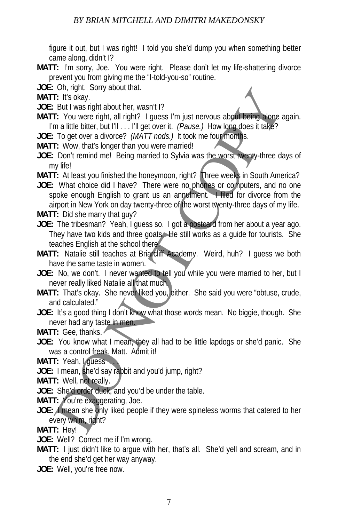figure it out, but I was right! I told you she'd dump you when something better came along, didn't I?

- **MATT:** I'm sorry, Joe. You were right. Please don't let my life-shattering divorce prevent you from giving me the "I-told-you-so" routine.
- **JOE:** Oh, right. Sorry about that.
- **MATT:** It's okay.
- **JOE:** But I was right about her, wasn't I?
- **MATT:** You were right, all right? I guess I'm just nervous about being alone again. I'm a little bitter, but I'll . . . I'll get over it. *(Pause.)* How long does it take?
- **JOE:** To get over a divorce? *(MATT nods.)* It took me four months.
- **MATT:** Wow, that's longer than you were married!
- **JOE:** Don't remind me! Being married to Sylvia was the worst twenty-three days of my life!
- **MATT:** At least you finished the honeymoon, right? Three weeks in South America?
- **JOE:** What choice did I have? There were no phones or computers, and no one spoke enough English to grant us an annulment. I filed for divorce from the airport in New York on day twenty-three of the worst twenty-three days of my life. on, rigin: Solny about that, wasn't P<br>
E: It's okay.<br>
But I was right about her, wasn't P<br>
E: It's okay.<br>
To diet were right, all right? I guess I'm just nervous about being alone at<br>
To diet work at divorce? (MATT nods.)
- **MATT:** Did she marry that guy?
- **JOE:** The tribesman? Yeah, I guess so. I got a postcard from her about a year ago. They have two kids and three goats. He still works as a guide for tourists. She teaches English at the school there.
- **MATT:** Natalie still teaches at Briarcliff Academy. Weird, huh? I guess we both have the same taste in women.
- **JOE:** No, we don't. I never wanted to tell you while you were married to her, but I never really liked Natalie all that much.
- **MATT:** That's okay. She never liked you, either. She said you were "obtuse, crude, and calculated."
- **JOE:** It's a good thing I don't know what those words mean. No biggie, though. She never had any taste in men.
- **MATT:** Gee, thanks.
- **JOE:** You know what I mean, they all had to be little lapdogs or she'd panic. She was a control freak, Matt. Admit it!
- **MATT: Yeah, I guess**
- **JOE:** I mean, she'd say rabbit and you'd jump, right?
- **MATT:** Well, not really.
- **JOE:** She'd order duck, and you'd be under the table.
- **MATT:** You're exaggerating, Joe.
- **JOE: I** mean she only liked people if they were spineless worms that catered to her every whim, right?

**MATT:** Hey!

- **JOE:** Well? Correct me if I'm wrong.
- **MATT:** I just didn't like to argue with her, that's all. She'd yell and scream, and in the end she'd get her way anyway.
- **JOE:** Well, you're free now.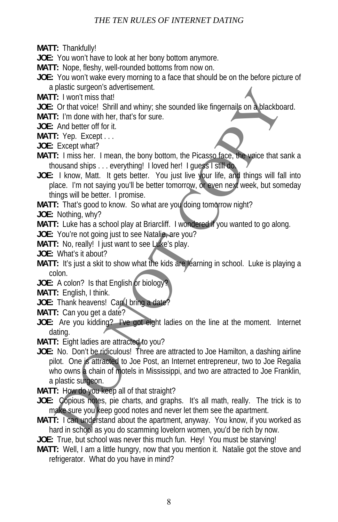**MATT:** Thankfully!

**JOE:** You won't have to look at her bony bottom anymore.

**MATT:** Nope, fleshy, well-rounded bottoms from now on.

- **JOE:** You won't wake every morning to a face that should be on the before picture of a plastic surgeon's advertisement.
- **MATT:** I won't miss that!
- **JOE:** Or that voice! Shrill and whiny; she sounded like fingernails on a blackboard.

**MATT:** I'm done with her, that's for sure.

**JOE:** And better off for it.

**MATT:** Yep. Except . . .

- **JOE:** Except what?
- **MATT:** I miss her. I mean, the bony bottom, the Picasso face, the voice that sank a thousand ships . . . everything! I loved her! I guess I still do.
- **JOE:** I know, Matt. It gets better. You just live your life, and things will fall into place. I'm not saying you'll be better tomorrow, or even next week, but someday things will be better. I promise.
- **MATT:** That's good to know. So what are you doing tomorrow night?
- **JOE:** Nothing, why?

**MATT:** Luke has a school play at Briarcliff. I wondered if you wanted to go along.

**JOE:** You're not going just to see Natalie, are you?

**MATT:** No, really! I just want to see Luke's play.

**JOE:** What's it about?

- **MATT:** It's just a skit to show what the kids are learning in school. Luke is playing a colon.
- JOE: A colon? Is that English or biology
- **MATT:** English, I think.

JOE: Thank heavens! Can I bring a date?

- **MATT:** Can you get a date?
- **JOE:** Are you kidding? I've got eight ladies on the line at the moment. Internet dating.
- **MATT:** Eight ladies are attracted to you?
- **JOE:** No. Don't be ridiculous! Three are attracted to Joe Hamilton, a dashing airline pilot. One is attracted to Joe Post, an Internet entrepreneur, two to Joe Regalia who owns a chain of motels in Mississippi, and two are attracted to Joe Franklin, a plastic surgeon. plastic suggeons advertisement.<br>
E: I wont miss that<br>
Cr that voice! Shrill and whiny, she sounded like fingernalis on a blackboard of the triangle of the triangle of And better of for it.<br>
E: I' wont miss that<br>
Except wha

**MATT:** How do you keep all of that straight?

- **JOE:** Copious notes, pie charts, and graphs. It's all math, really. The trick is to make sure you keep good notes and never let them see the apartment.
- **MATT:** I can understand about the apartment, anyway. You know, if you worked as hard in school as you do scamming lovelorn women, you'd be rich by now.
- **JOE:** True, but school was never this much fun. Hey! You must be starving!
- **MATT:** Well, I am a little hungry, now that you mention it. Natalie got the stove and refrigerator. What do you have in mind?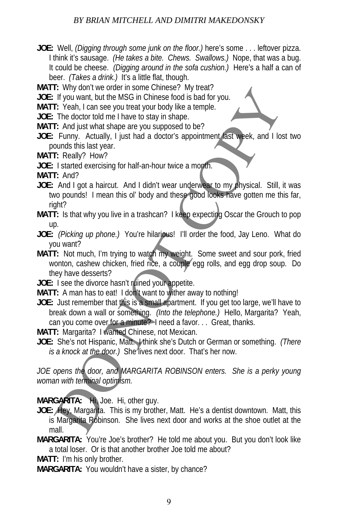### *BY BRIAN MITCHELL AND DIMITRI MAKEDONSKY*

**JOE:** Well, *(Digging through some junk on the floor.)* here's some . . . leftover pizza. I think it's sausage. *(He takes a bite. Chews. Swallows.)* Nope, that was a bug. It could be cheese. *(Digging around in the sofa cushion.)* Here's a half a can of beer. *(Takes a drink.)* It's a little flat, though.

**MATT:** Why don't we order in some Chinese? My treat?

**JOE:** If you want, but the MSG in Chinese food is bad for you.

**MATT:** Yeah, I can see you treat your body like a temple.

**JOE:** The doctor told me I have to stay in shape.

**MATT:** And just what shape are you supposed to be?

- **JOE:** Funny. Actually, I just had a doctor's appointment last week, and I lost two pounds this last year.
- **MATT:** Really? How?
- **JOE:** I started exercising for half-an-hour twice a month.

**MATT:** And?

- **JOE:** And I got a haircut. And I didn't wear underwear to my physical. Still, it was two pounds! I mean this ol' body and these good looks have gotten me this far, right?
- **MATT:** Is that why you live in a trashcan? I keep expecting Oscar the Grouch to pop up.
- **JOE:** *(Picking up phone.)* You're hilarious! I'll order the food, Jay Leno. What do you want?
- **MATT:** Not much, I'm trying to watch my weight. Some sweet and sour pork, fried wonton, cashew chicken, fried rice, a couple egg rolls, and egg drop soup. Do they have desserts? It way our two outer in some chimnese *F* any literative The data for you.<br>If you want, but the MSG in Chinese food is bad for you.<br>The doctor told me I have to stay in shape.<br>The doctor stay is that a declorer spoiling th
- **JOE:** I see the divorce hasn't ruined your appetite.
- **MATT:** A man has to eat! I don't want to wither away to nothing!
- **JOE:** Just remember that this is a small apartment. If you get too large, we'll have to break down a wall or something. *(Into the telephone.)* Hello, Margarita? Yeah, can you come over for a minute? I need a favor. . . Great, thanks.
- **MATT:** Margarita? I wanted Chinese, not Mexican.
- **JOE:** She's not Hispanic, Matt. I think she's Dutch or German or something. *(There is a knock at the door.)* She lives next door. That's her now.

*JOE opens the door, and MARGARITA ROBINSON enters. She is a perky young woman with terminal optimism.* 

**MARGARITA:** Hi, Joe. Hi, other guy.

**JOE:** Hey, Margarita. This is my brother, Matt. He's a dentist downtown. Matt, this is Margarita Robinson. She lives next door and works at the shoe outlet at the mall.

**MARGARITA:** You're Joe's brother? He told me about you. But you don't look like a total loser. Or is that another brother Joe told me about?

**MATT:** I'm his only brother.

**MARGARITA:** You wouldn't have a sister, by chance?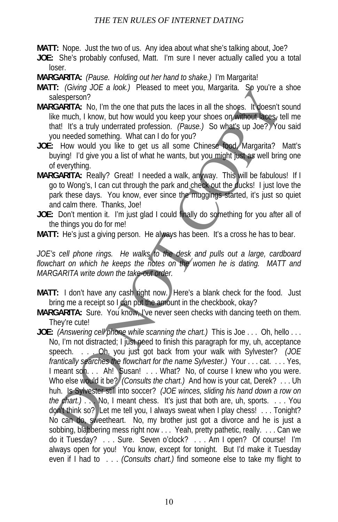**MATT:** Nope. Just the two of us. Any idea about what she's talking about, Joe?

**JOE:** She's probably confused, Matt. I'm sure I never actually called you a total loser.

**MARGARITA:** *(Pause. Holding out her hand to shake.)* I'm Margarita!

- **MATT:** *(Giving JOE a look.)* Pleased to meet you, Margarita. So you're a shoe salesperson?
- **MARGARITA:** No, I'm the one that puts the laces in all the shoes. It doesn't sound like much, I know, but how would you keep your shoes on without laces, tell me that! It's a truly underrated profession. *(Pause.)* So what's up Joe? You said you needed something. What can I do for you?
- **JOE:** How would you like to get us all some Chinese food, Margarita? Matt's buying! I'd give you a list of what he wants, but you might just as well bring one of everything.
- **MARGARITA:** Really? Great! I needed a walk, anyway. This will be fabulous! If I go to Wong's, I can cut through the park and check out the ducks! I just love the park these days. You know, ever since the muggings started, it's just so quiet and calm there. Thanks, Joe!
- **JOE:** Don't mention it. I'm just glad I could finally do something for you after all of the things you do for me!

*JOE's cell phone rings. He walks to the desk and pulls out a large, cardboard flowchart on which he keeps the notes on the women he is dating. MATT and MARGARITA write down the take-out order.* 

- **MATT:** I don't have any cash right now. Here's a blank check for the food. Just bring me a receipt so I can put the amount in the checkbook, okay?
- **MARGARITA:** Sure. You know, I've never seen checks with dancing teeth on them. They're cute!
- **JOE:** *(Answering cell phone while scanning the chart.)* This is Joe . . . Oh, hello . . . No, I'm not distracted; I just need to finish this paragraph for my, uh, acceptance speech. . . . Oh, you just got back from your walk with Sylvester? *(JOE frantically searches the flowchart for the name Sylvester.)* Your . . . cat. . . . Yes, I meant son. . . Ah! Susan! . . . What? No, of course I knew who you were. Who else would it be? *(Consults the chart.)* And how is your cat, Derek? . . . Uh huh. Is Sylvester still into soccer? *(JOE winces, sliding his hand down a row on the chart.)* . . . No, I meant chess. It's just that both are, uh, sports. . . . You don't think so? Let me tell you, I always sweat when I play chess! . . . Tonight? No can do, sweetheart. No, my brother just got a divorce and he is just a sobbing, blabbering mess right now . . . Yeah, pretty pathetic, really. . . . Can we do it Tuesday? . . . Sure. Seven o'clock? . . . Am I open? Of course! I'm always open for you! You know, except for tonight. But I'd make it Tuesday even if I had to . . . *(Consults chart.)* find someone else to take my flight to The control of the background of the same of the same state of the space of the same states in all the shops. It does not the shops in the shops in the shops in the shops of the small at this that the small at the shops in

**MATT:** He's just a giving person. He always has been. It's a cross he has to bear.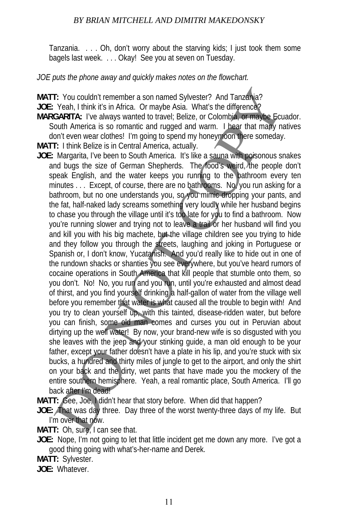Tanzania. . . . Oh, don't worry about the starving kids; I just took them some bagels last week. . . . Okay! See you at seven on Tuesday.

## *JOE puts the phone away and quickly makes notes on the flowchart.*

**MATT:** You couldn't remember a son named Sylvester? And Tanzania?

**JOE:** Yeah, I think it's in Africa. Or maybe Asia. What's the difference?

**MARGARITA:** I've always wanted to travel; Belize, or Colombia, or maybe Ecuador. South America is so romantic and rugged and warm. I hear that many natives don't even wear clothes! I'm going to spend my honeymoon there someday.

**MATT:** I think Belize is in Central America, actually.

**JOE:** Margarita, I've been to South America. It's like a sauna with poisonous snakes and bugs the size of German Shepherds. The food's weird, the people don't speak English, and the water keeps you running to the bathroom every ten minutes . . . Except, of course, there are no bathrooms. No, you run asking for a bathroom, but no one understands you, so you mimic dropping your pants, and the fat, half-naked lady screams something very loudly while her husband begins to chase you through the village until it's too late for you to find a bathroom. Now you're running slower and trying not to leave a trail or her husband will find you and kill you with his big machete, but the village children see you trying to hide and they follow you through the streets, laughing and joking in Portuguese or Spanish or, I don't know, Yucatanish. And you'd really like to hide out in one of the rundown shacks or shanties you see everywhere, but you've heard rumors of cocaine operations in South America that kill people that stumble onto them, so you don't. No! No, you run and you run, until you're exhausted and almost dead of thirst, and you find yourself drinking a half-gallon of water from the village well before you remember that water is what caused all the trouble to begin with! And you try to clean yourself up, with this tainted, disease-ridden water, but before you can finish, some old man comes and curses you out in Peruvian about dirtying up the well water! By now, your brand-new wife is so disgusted with you she leaves with the jeep and your stinking quide, a man old enough to be your father, except your father doesn't have a plate in his lip, and you're stuck with six bucks, a hundred and thirty miles of jungle to get to the airport, and only the shirt on your back and the dirty, wet pants that have made you the mockery of the entire southern hemisphere. Yeah, a real romantic place, South America. I'll go back after I'm dead! F: You couldn't remember a son named Sylvester? And Tanzahia?<br>
Yeah, I think it's in Africa. Or maybe Asia. What's the difference?<br>
CARITA: I've always wanted to tarve): Belize, or Colombia. e-maybe<br>
couth America is so ro

**MATT:** Gee, Joe, I didn't hear that story before. When did that happen?

**JOE:** That was day three. Day three of the worst twenty-three days of my life. But I'm over that now.

**MATT:** Oh, sure, I can see that.

**JOE:** Nope, I'm not going to let that little incident get me down any more. I've got a good thing going with what's-her-name and Derek.

**MATT:** Sylvester.

**JOE:** Whatever.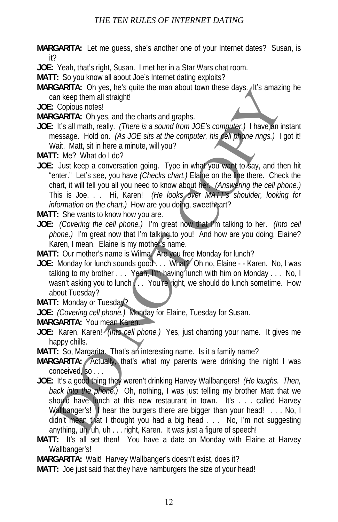**MARGARITA:** Let me guess, she's another one of your Internet dates? Susan, is it?

**JOE:** Yeah, that's right, Susan. I met her in a Star Wars chat room.

**MATT:** So you know all about Joe's Internet dating exploits?

**MARGARITA:** Oh yes, he's quite the man about town these days. It's amazing he can keep them all straight!

**JOE:** Copious notes!

**MARGARITA:** Oh yes, and the charts and graphs.

**JOE:** It's all math, really. *(There is a sound from JOE's computer.)* I have an instant message. Hold on. *(As JOE sits at the computer, his cell phone rings.)* I got it! Wait. Matt, sit in here a minute, will you?

**MATT:** Me? What do I do?

**JOE:** Just keep a conversation going. Type in what you want to say, and then hit "enter." Let's see, you have *(Checks chart.)* Elaine on the line there. Check the chart, it will tell you all you need to know about her. *(Answering the cell phone.)* This is Joe. . . Hi, Karen! *(He looks over MATT's shoulder, looking for information on the chart.)* How are you doing, sweetheart?

**MATT:** She wants to know how you are.

- **JOE:** *(Covering the cell phone.)* I'm great now that I'm talking to her. *(Into cell phone.)* I'm great now that I'm talking to you! And how are you doing, Elaine? Karen, I mean. Elaine is my mother's name.
- **MATT:** Our mother's name is Wilma. Are you free Monday for lunch?
- **JOE:** Monday for lunch sounds good . . . What? Oh no, Elaine - Karen. No, I was talking to my brother . . . Yeah, I'm having lunch with him on Monday . . . No, I wasn't asking you to lunch . . . You're right, we should do lunch sometime. How about Tuesday?

**MATT:** Monday or Tuesday?

**JOE:** *(Covering cell phone.)* Monday for Elaine, Tuesday for Susan.

## **MARGARITA:** You mean Karen.

- **JOE:** Karen, Karen! *(Into cell phone.)* Yes, just chanting your name. It gives me happy chills.
- **MATT:** So, Margarita. That's an interesting name. Is it a family name?
- **MARGARITA:** Actually, that's what my parents were drinking the night I was conceived, so . . .
- **JOE:** It's a good thing they weren't drinking Harvey Wallbangers! *(He laughs. Then, back into the phone.)* Oh, nothing, I was just telling my brother Matt that we should have lunch at this new restaurant in town. It's . . . called Harvey Wallbanger's! I hear the burgers there are bigger than your head! . . . No, I didn't mean that I thought you had a big head . . . No, I'm not suggesting anything, uh, uh, uh . . . right, Karen. It was just a figure of speech! GARITA: Only es, its squadration in these transformations and the same of the squadration in the squadration of the squadration of the squadration of the squadration of the squadration of the squadration of the squadration
- **MATT:** It's all set then! You have a date on Monday with Elaine at Harvey Wallbanger's!

**MARGARITA:** Wait! Harvey Wallbanger's doesn't exist, does it?

**MATT:** Joe just said that they have hamburgers the size of your head!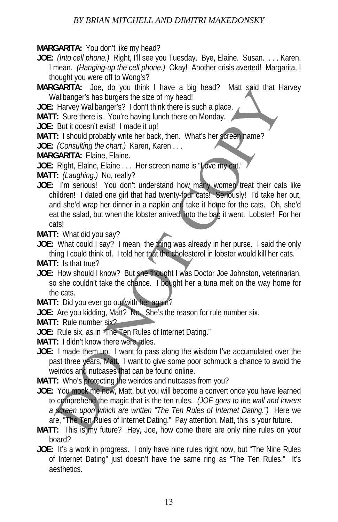**MARGARITA:** You don't like my head?

- **JOE:** *(Into cell phone.)* Right, I'll see you Tuesday. Bye, Elaine. Susan. . . . Karen, I mean. *(Hanging-up the cell phone.)* Okay! Another crisis averted! Margarita, I thought you were off to Wong's?
- **MARGARITA:** Joe, do you think I have a big head? Matt said that Harvey Wallbanger's has burgers the size of my head!

**JOE:** Harvey Wallbanger's? I don't think there is such a place.

**MATT:** Sure there is. You're having lunch there on Monday.

**JOE:** But it doesn't exist! I made it up!

**MATT:** I should probably write her back, then. What's her screen name?

**JOE:** *(Consulting the chart.)* Karen, Karen . . .

**MARGARITA:** Elaine, Elaine.

**JOE:** Right, Elaine, Elaine . . . Her screen name is "Love my cat."

**MATT:** *(Laughing.)* No, really?

**JOE:** I'm serious! You don't understand how many women treat their cats like children! I dated one girl that had twenty-four cats! Seriously! I'd take her out, and she'd wrap her dinner in a napkin and take it home for the cats. Oh, she'd eat the salad, but when the lobster arrived, into the bag it went. Lobster! For her cats! SHATTA: "Due, to you timus in rave a logineary had said mat Histograph ("I alternate a completed" with the state in Show The Show The Show The Show The Show The Show The Show The Consulting the case of the Burlin Consultin

**MATT:** What did you say?

**JOE:** What could I say? I mean, the thing was already in her purse. I said the only thing I could think of. I told her that the cholesterol in lobster would kill her cats.

**MATT:** Is that true?

- **JOE:** How should I know? But she thought I was Doctor Joe Johnston, veterinarian, so she couldn't take the chance. I bought her a tuna melt on the way home for the cats.
- **MATT:** Did you ever go out with her again?
- **JOE:** Are you kidding, Matt? No. She's the reason for rule number six.

**MATT:** Rule number six?

**JOE:** Rule six, as in "The Ten Rules of Internet Dating."

**MATT:** I didn't know there were rules.

**JOE:** I made them up. I want to pass along the wisdom I've accumulated over the past three years, Matt. I want to give some poor schmuck a chance to avoid the weirdos and nutcases that can be found online.

**MATT:** Who's protecting the weirdos and nutcases from you?

- **JOE:** You mock me now, Matt, but you will become a convert once you have learned to comprehend the magic that is the ten rules. *(JOE goes to the wall and lowers a screen upon which are written "The Ten Rules of Internet Dating.")* Here we are, "The Ten Rules of Internet Dating." Pay attention, Matt, this is your future.
- **MATT:** This is my future? Hey, Joe, how come there are only nine rules on your board?
- **JOE:** It's a work in progress. I only have nine rules right now, but "The Nine Rules of Internet Dating" just doesn't have the same ring as "The Ten Rules." It's aesthetics.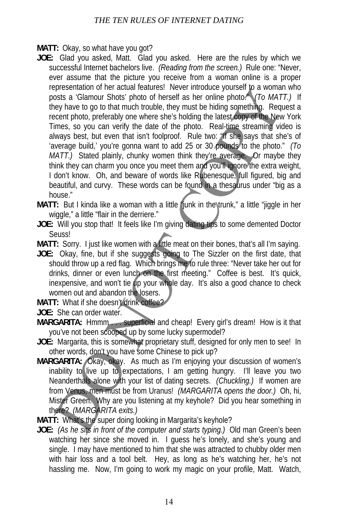**MATT:** Okay, so what have you got?

- **JOE:** Glad you asked, Matt. Glad you asked. Here are the rules by which we successful Internet bachelors live. *(Reading from the screen.)* Rule one: "Never, ever assume that the picture you receive from a woman online is a proper representation of her actual features! Never introduce yourself to a woman who posts a 'Glamour Shots' photo of herself as her online photo." *(To MATT.)* If they have to go to that much trouble, they must be hiding something. Request a recent photo, preferably one where she's holding the latest copy of the New York Times, so you can verify the date of the photo. Real-time streaming video is always best, but even that isn't foolproof. Rule two: "If she says that she's of 'average build,' you're gonna want to add 25 or 30 pounds to the photo." *(To MATT.)* Stated plainly, chunky women think they're average. Or maybe they think they can charm you once you meet them and you'll ignore the extra weight, I don't know. Oh, and beware of words like Rubenesque, full figured, big and beautiful, and curvy. These words can be found in a thesaurus under "big as a house." eperation of inet actual example, the the total example the system in the computer system in the control of the system in the control of the system of the system of the system of the system of the system of the system of t
- **MATT:** But I kinda like a woman with a little funk in the trunk," a little "jiggle in her wiggle," a little "flair in the derriere."
- **JOE:** Will you stop that! It feels like I'm giving dating tips to some demented Doctor Seuss!
- **MATT:** Sorry. I just like women with a little meat on their bones, that's all I'm saying.
- **JOE:** Okay, fine, but if she suggests going to The Sizzler on the first date, that should throw up a red flag. Which brings me to rule three: "Never take her out for drinks, dinner or even lunch on the first meeting." Coffee is best. It's quick, inexpensive, and won't tie up your whole day. It's also a good chance to check women out and abandon the losers.
- **MATT:** What if she doesn't drink coffee?
- **JOE:** She can order water.
- **MARGARITA:** Hmmm...superficial and cheap! Every girl's dream! How is it that you've not been scooped up by some lucky supermodel?
- **JOE:** Margarita, this is somewhat proprietary stuff, designed for only men to see! In other words, don't you have some Chinese to pick up?
- **MARGARITA:** Okay, okay. As much as I'm enjoying your discussion of women's inability to live up to expectations, I am getting hungry. I'll leave you two Neanderthals alone with your list of dating secrets. *(Chuckling.)* If women are from Venus, men must be from Uranus! *(MARGARITA opens the door.)* Oh, hi, Mister Green. Why are you listening at my keyhole? Did you hear something in there? *(MARGARITA exits.)*
- **MATT:** What's the super doing looking in Margarita's keyhole?
- **JOE:** *(As he sits in front of the computer and starts typing.)* Old man Green's been watching her since she moved in. I guess he's lonely, and she's young and single. I may have mentioned to him that she was attracted to chubby older men with hair loss and a tool belt. Hey, as long as he's watching her, he's not hassling me. Now, I'm going to work my magic on your profile, Matt. Watch,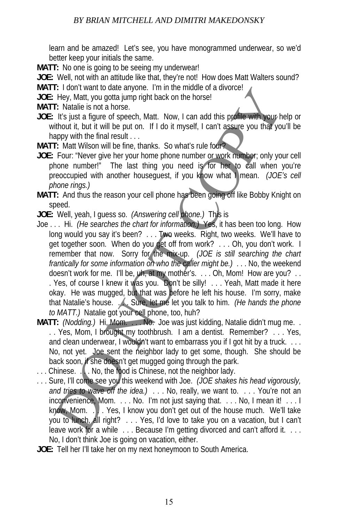learn and be amazed! Let's see, you have monogrammed underwear, so we'd better keep your initials the same.

**MATT:** No one is going to be seeing my underwear!

**JOE:** Well, not with an attitude like that, they're not! How does Matt Walters sound?

**MATT:** I don't want to date anyone. I'm in the middle of a divorce!

**JOE:** Hey, Matt, you gotta jump right back on the horse!

**MATT:** Natalie is not a horse.

- **JOE:** It's just a figure of speech, Matt. Now, I can add this profile with your help or without it, but it will be put on. If I do it myself, I can't assure you that you'll be happy with the final result . . .
- **MATT:** Matt Wilson will be fine, thanks. So what's rule four?
- **JOE:** Four: "Never give her your home phone number or work number; only your cell phone number!" The last thing you need is for her to call when you're preoccupied with another houseguest, if you know what I mean. *(JOE's cell phone rings.)*
- **MATT:** And thus the reason your cell phone has been going off like Bobby Knight on speed.
- **JOE:** Well, yeah, I guess so. *(Answering cell phone.)* This is
- Joe . . . Hi. *(He searches the chart for information.)* Yes, it has been too long. How long would you say it's been? . . . Two weeks. Right, two weeks. We'll have to get together soon. When do you get off from work? . . . Oh, you don't work. I remember that now. Sorry for the mix-up. *(JOE is still searching the chart frantically for some information on who the caller might be.)* . . . No, the weekend doesn't work for me. I'll be, uh, at my mother's. . . . Oh, Mom! How are you? . . . Yes, of course I knew it was you. Don't be silly! . . . Yeah, Matt made it here okay. He was mugged, but that was before he left his house. I'm sorry, make that Natalie's house. . . . Sure, let me let you talk to him. *(He hands the phone to MATT.)* Natalie got your cell phone, too, huh? is the two set are worker in the media of the base and a server in the media of the by-<br>Hey, Matt, you gotta jump right back on the horse!<br>
It's just a figure of speech, Matt. Now, I can add this politic with the figure w
- **MATT:** *(Nodding.)* Hi, Mom. . . . No. Joe was just kidding, Natalie didn't mug me. . . . Yes, Mom, I brought my toothbrush. I am a dentist. Remember? . . . Yes, and clean underwear. I wouldn't want to embarrass you if I got hit by a truck. . . . No, not yet. Joe sent the neighbor lady to get some, though. She should be back soon, if she doesn't get mugged going through the park.
- $\ldots$  Chinese.  $\ldots$  No, the food is Chinese, not the neighbor lady.
- . . . Sure, I'll come see you this weekend with Joe. *(JOE shakes his head vigorously, and tries to wave off the idea.)* . . . No, really, we want to. . . . You're not an inconvenience, Mom. . . . No. I'm not just saying that. . . . No, I mean it! . . . I know, Mom. . . Yes, I know you don't get out of the house much. We'll take you to lunch, all right? . . . Yes, I'd love to take you on a vacation, but I can't leave work for a while . . . Because I'm getting divorced and can't afford it. . . . No, I don't think Joe is going on vacation, either.
- **JOE:** Tell her I'll take her on my next honeymoon to South America.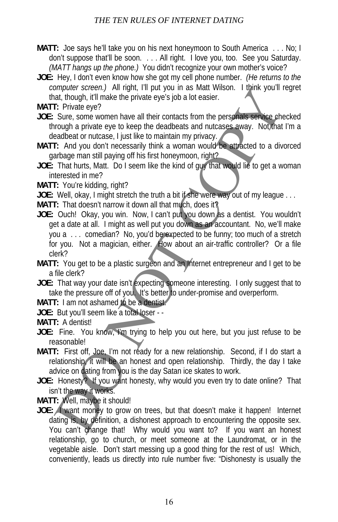- **MATT:** Joe says he'll take you on his next honeymoon to South America . . . No; I don't suppose that'll be soon. . . . All right. I love you, too. See you Saturday. *(MATT hangs up the phone.)* You didn't recognize your own mother's voice?
- **JOE:** Hey, I don't even know how she got my cell phone number. *(He returns to the computer screen.)* All right, I'll put you in as Matt Wilson. I think you'll regret that, though, it'll make the private eye's job a lot easier.
- **MATT:** Private eye?
- **JOE:** Sure, some women have all their contacts from the personals service checked through a private eye to keep the deadbeats and nutcases away. Not that I'm a deadbeat or nutcase, I just like to maintain my privacy.
- **MATT:** And you don't necessarily think a woman would be attracted to a divorced garbage man still paying off his first honeymoon, right?
- **JOE:** That hurts, Matt. Do I seem like the kind of guy that would lie to get a woman interested in me?
- **MATT:** You're kidding, right?
- **JOE:** Well, okay, I might stretch the truth a bit if she were way out of my league . . .
- **MATT:** That doesn't narrow it down all that much, does it?
- **JOE:** Ouch! Okay, you win. Now, I can't put you down as a dentist. You wouldn't get a date at all. I might as well put you down as an accountant. No, we'll make you a . . . comedian? No, you'd be expected to be funny; too much of a stretch for you. Not a magician, either. How about an air-traffic controller? Or a file clerk? by the sect of the the private internal and which will are solar window and the solar the solar the solar term of the private the private term of the private eyes job a lot easier.<br>
I. Private eye?<br>
Sure, some women have t
- **MATT:** You get to be a plastic surgeon and an Internet entrepreneur and I get to be a file clerk?
- JOE: That way your date isn't expecting someone interesting. I only suggest that to take the pressure off of you. It's better to under-promise and overperform.
- **MATT:** I am not ashamed to be a dentist.
- **JOE:** But you'll seem like a total loser -
- **MATT:** A dentist!
- JOE: Fine. You know, I'm trying to help you out here, but you just refuse to be reasonable!
- MATT: First off, Joe, I'm not ready for a new relationship. Second, if I do start a relationship, it will be an honest and open relationship. Thirdly, the day I take advice on dating from you is the day Satan ice skates to work.
- **JOE:** Honesty? If you want honesty, why would you even try to date online? That isn't the way it works.
- **MATT:** Well, maybe it should!
- **JOE:** I want money to grow on trees, but that doesn't make it happen! Internet dating is, by definition, a dishonest approach to encountering the opposite sex. You can't change that! Why would you want to? If you want an honest relationship, go to church, or meet someone at the Laundromat, or in the vegetable aisle. Don't start messing up a good thing for the rest of us! Which, conveniently, leads us directly into rule number five: "Dishonesty is usually the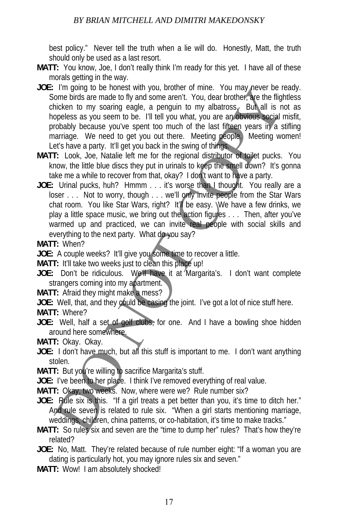best policy." Never tell the truth when a lie will do. Honestly, Matt, the truth should only be used as a last resort.

- **MATT:** You know, Joe, I don't really think I'm ready for this yet. I have all of these morals getting in the way.
- JOE: I'm going to be honest with you, brother of mine. You may never be ready. Some birds are made to fly and some aren't. You, dear brother, are the flightless chicken to my soaring eagle, a penguin to my albatross. But all is not as hopeless as you seem to be. I'll tell you what, you are an obvious social misfit, probably because you've spent too much of the last fifteen years in a stifling marriage. We need to get you out there. Meeting people. Meeting women! Let's have a party. It'll get you back in the swing of things. The going to be notes with you, bothous the matter. You may held be protestant only as a protect of ty and some aren't. You, dear broker, the flightickness by ourse in the solution of the last fifteen years in a since and
- **MATT:** Look, Joe, Natalie left me for the regional distributor of toilet pucks. You know, the little blue discs they put in urinals to keep the smell down? It's gonna take me a while to recover from that, okay? I don't want to have a party.
- **JOE:** Urinal pucks, huh? Hmmm . . . it's worse than I thought. You really are a loser . . . Not to worry, though . . . we'll only invite people from the Star Wars chat room. You like Star Wars, right? It'll be easy. We have a few drinks, we play a little space music, we bring out the action figures . . . Then, after you've warmed up and practiced, we can invite real people with social skills and everything to the next party. What do you say?
- **MATT:** When?

**JOE:** A couple weeks? It'll give you some time to recover a little.

- **MATT:** It'll take two weeks just to clean this place up!
- **JOE:** Don't be ridiculous. We'll have it at Margarita's. I don't want complete strangers coming into my apartment.
- **MATT:** Afraid they might make a mess?
- **JOE:** Well, that, and they could be casing the joint. I've got a lot of nice stuff here.
- **MATT:** Where?
- JOE: Well, half a set of golf clubs, for one. And I have a bowling shoe hidden around here somewhere.

**MATT:** Okay. Okay.

- **JOE:** I don't have much, but all this stuff is important to me. I don't want anything stolen.
- MATT: But you're willing to sacrifice Margarita's stuff.

**JOE:** I've been to her place. I think I've removed everything of real value.

**MATT:** Okay, two weeks. Now, where were we? Rule number six?

- JOE: Rule six is this. "If a girl treats a pet better than you, it's time to ditch her." And rule seven is related to rule six. "When a girl starts mentioning marriage, weddings, children, china patterns, or co-habitation, it's time to make tracks."
- **MATT:** So rules six and seven are the "time to dump her" rules? That's how they're related?
- **JOE:** No, Matt. They're related because of rule number eight: "If a woman you are dating is particularly hot, you may ignore rules six and seven."
- **MATT:** Wow! I am absolutely shocked!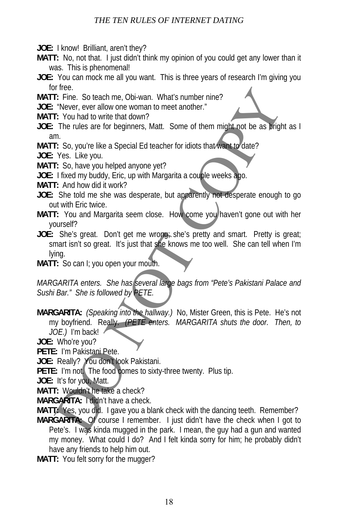**JOE:** I know! Brilliant, aren't they?

- **MATT:** No, not that. I just didn't think my opinion of you could get any lower than it was. This is phenomenal!
- **JOE:** You can mock me all you want. This is three years of research I'm giving you for free.
- **MATT:** Fine. So teach me, Obi-wan. What's number nine?
- **JOE:** "Never, ever allow one woman to meet another."
- **MATT:** You had to write that down?
- **JOE:** The rules are for beginners, Matt. Some of them might not be as bright as I am.
- **MATT:** So, you're like a Special Ed teacher for idiots that want to date?

**JOE:** Yes. Like you.

- **MATT:** So, have you helped anyone yet?
- **JOE:** I fixed my buddy, Eric, up with Margarita a couple weeks ago.
- **MATT:** And how did it work?
- **JOE:** She told me she was desperate, but apparently not desperate enough to go out with Eric twice.
- **MATT:** You and Margarita seem close. How come you haven't gone out with her yourself?
- **JOE:** She's great. Don't get me wrong; she's pretty and smart. Pretty is great; smart isn't so great. It's just that she knows me too well. She can tell when I'm lying. If these<br>
In Eig. So teach me, Obi-wan. What's number nine?<br>
The mest all owite that down?<br>
The rules are for beginners, Matt. Some of them might not be as pright<br>
The rules are for beginners, Matt. Some of them might not
- **MATT:** So can I; you open your mouth.

*MARGARITA enters. She has several large bags from "Pete's Pakistani Palace and Sushi Bar." She is followed by PETE.*

- **MARGARITA:** *(Speaking into the hallway.)* No, Mister Green, this is Pete. He's not my boyfriend. Really. *(PETE enters. MARGARITA shuts the door. Then, to JOE.)* I'm back!
- **JOE:** Who're you?
- PETE: I'm Pakistani Pete.
- JOE: Really? You don't look Pakistani.
- **PETE:** I'm not. The food comes to sixty-three twenty. Plus tip.
- **JOE:** It's for you, Matt.
- **MATT:** Wouldn't he take a check?
- **MARGARITA:** I didn't have a check.

**MATT:** Yes, you did. I gave you a blank check with the dancing teeth. Remember?

- **MARGARITA:** Of course I remember. I just didn't have the check when I got to Pete's. I was kinda mugged in the park. I mean, the guy had a gun and wanted my money. What could I do? And I felt kinda sorry for him; he probably didn't have any friends to help him out.
- **MATT:** You felt sorry for the mugger?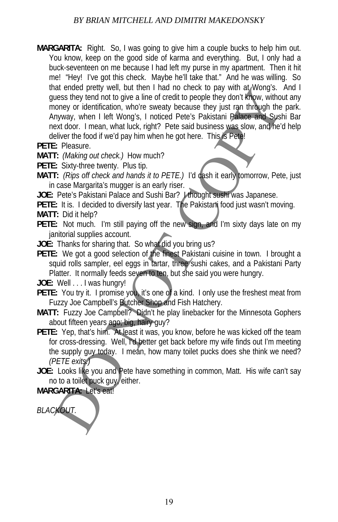- **MARGARITA:** Right. So, I was going to give him a couple bucks to help him out. You know, keep on the good side of karma and everything. But, I only had a buck-seventeen on me because I had left my purse in my apartment. Then it hit me! "Hey! I've got this check. Maybe he'll take that." And he was willing. So that ended pretty well, but then I had no check to pay with at Wong's. And I guess they tend not to give a line of credit to people they don't know, without any money or identification, who're sweaty because they just ran through the park. Anyway, when I left Wong's, I noticed Pete's Pakistani Palace and Sushi Bar next door. I mean, what luck, right? Pete said business was slow, and he'd help deliver the food if we'd pay him when he got here. This is Pete! and these there were the mind of user in the mind of the said you and the said you and the said you and the said you and the said you and the said Sustain Pharmy with the weak that we weakly because they just ran through t
- **PETE:** Pleasure.
- **MATT:** *(Making out check.)* How much?
- **PETE:** Sixty-three twenty. Plus tip.
- **MATT:** *(Rips off check and hands it to PETE.)* I'd cash it early tomorrow, Pete, just in case Margarita's mugger is an early riser.
- **JOE:** Pete's Pakistani Palace and Sushi Bar? I thought sushi was Japanese.
- **PETE:** It is. I decided to diversify last year. The Pakistani food just wasn't moving.
- **MATT:** Did it help?
- **PETE:** Not much. I'm still paying off the new sign, and I'm sixty days late on my janitorial supplies account.
- **JOE:** Thanks for sharing that. So what did you bring us?
- **PETE:** We got a good selection of the finest Pakistani cuisine in town. I brought a squid rolls sampler, eel eggs in tartar, three sushi cakes, and a Pakistani Party Platter. It normally feeds seven to ten, but she said you were hungry.
- **JOE:** Well . . . I was hungry!
- **PETE:** You try it. I promise you, it's one of a kind. I only use the freshest meat from Fuzzy Joe Campbell's Butcher Shop and Fish Hatchery.
- **MATT:** Fuzzy Joe Campbell? Didn't he play linebacker for the Minnesota Gophers about fifteen years ago; big, hairy guy?
- **PETE:** Yep, that's him. At least it was, you know, before he was kicked off the team for cross-dressing. Well, I'd better get back before my wife finds out I'm meeting the supply guy today. I mean, how many toilet pucks does she think we need? *(PETE exits.)*
- **JOE:** Looks like you and Pete have something in common, Matt. His wife can't say no to a toilet puck guy, either.

## **MARGARITA:** Let's eat!

*BLACKOUT.*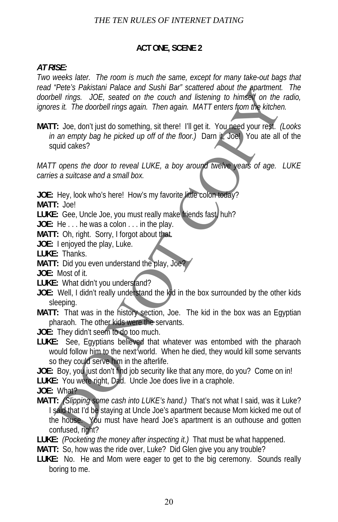## **ACT ONE, SCENE 2**

#### *AT RISE:*

*Two weeks later.* The room is much the same, except for many take-out bags that *read "Pete's Pakistani Palace and Sushi Bar" scattered about the apartment. The doorbell rings. JOE, seated on the couch and listening to himself on the radio, ignores it. The doorbell rings again. Then again. MATT enters from the kitchen.*

**MATT:** Joe, don't just do something, sit there! I'll get it. You need your rest. *(Looks in an empty bag he picked up off of the floor.)* Darn it, Joe! You ate all of the squid cakes?

*MATT opens the door to reveal LUKE, a boy around twelve years of age. LUKE carries a suitcase and a small box.*

**JOE:** Hey, look who's here! How's my favorite little colon today?

**MATT:** Joe!

**LUKE:** Gee, Uncle Joe, you must really make friends fast, huh?

**JOE:** He . . . he was a colon . . . in the play.

**MATT:** Oh, right. Sorry, I forgot about that.

**JOE:** I enjoyed the play, Luke.

**LUKE:** Thanks.

**MATT:** Did you even understand the play, Joe?

**JOE:** Most of it.

**LUKE:** What didn't you understand?

- **JOE:** Well, I didn't really understand the kid in the box surrounded by the other kids sleeping.
- **MATT:** That was in the history section, Joe. The kid in the box was an Egyptian pharaoh. The other kids were the servants.
- **JOE:** They didn't seem to do too much.
- **LUKE:** See, Egyptians believed that whatever was entombed with the pharaoh would follow him to the next world. When he died, they would kill some servants so they could serve him in the afterlife.

**JOE:** Boy, you just don't find job security like that any more, do you? Come on in! **LUKE:** You were right, Dad. Uncle Joe does live in a craphole.

**JOE:** What?

- **MATT:** *(Slipping some cash into LUKE's hand.)* That's not what I said, was it Luke? I said that I'd be staying at Uncle Joe's apartment because Mom kicked me out of the house. You must have heard Joe's apartment is an outhouse and gotten confused, right? Treuts Preastant Prelacter and Sustin Barr scattered about the planning.<br>
Tel. ings. JOE, seated on the couch and listening to himsely on the<br>
fold ings. JOE, seated on the couch and listening to himsely on the<br>
F: Joe, do
- **LUKE:** *(Pocketing the money after inspecting it.)* That must be what happened.
- **MATT:** So, how was the ride over, Luke? Did Glen give you any trouble?
- **LUKE:** No. He and Mom were eager to get to the big ceremony. Sounds really boring to me.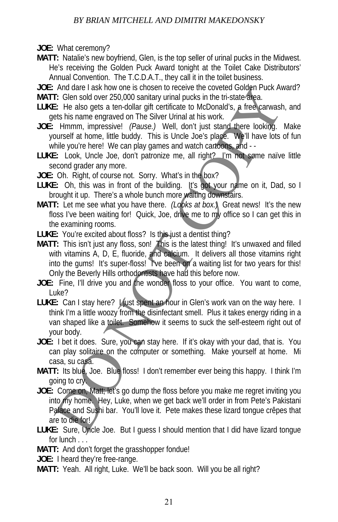## *BY BRIAN MITCHELL AND DIMITRI MAKEDONSKY*

**JOE:** What ceremony?

- **MATT:** Natalie's new boyfriend, Glen, is the top seller of urinal pucks in the Midwest. He's receiving the Golden Puck Award tonight at the Toilet Cake Distributors' Annual Convention. The T.C.D.A.T., they call it in the toilet business.
- **JOE:** And dare I ask how one is chosen to receive the coveted Golden Puck Award?
- **MATT:** Glen sold over 250,000 sanitary urinal pucks in the tri-state area.
- **LUKE:** He also gets a ten-dollar gift certificate to McDonald's, a free carwash, and gets his name engraved on The Silver Urinal at his work.
- **JOE:** Hmmm, impressive! *(Pause.)* Well, don't just stand there looking. Make yourself at home, little buddy. This is Uncle Joe's place. We'll have lots of fun while you're here! We can play games and watch cartoons, and --
- LUKE: Look, Uncle Joe, don't patronize me, all right? I'm not some naïve little second grader any more.
- **JOE:** Oh. Right, of course not. Sorry. What's in the box?
- LUKE: Oh, this was in front of the building. It's got your name on it, Dad, so I brought it up. There's a whole bunch more waiting downstairs.
- **MATT:** Let me see what you have there. *(Looks at box.)* Great news! It's the new floss I've been waiting for! Quick, Joe, drive me to my office so I can get this in the examining rooms.
- **LUKE:** You're excited about floss? Is this just a dentist thing?
- **MATT:** This isn't just any floss, son! This is the latest thing! It's unwaxed and filled with vitamins A, D, E, fluoride, and calcium. It delivers all those vitamins right into the gums! It's super-floss! I've been on a waiting list for two years for this! Only the Beverly Hills orthodontists have had this before now. And uate i ask how one is notset to located about the coverage interesting that the content in the state of the state of the state of the state of the state of the state of the state of the state of the state of the state
- **JOE:** Fine, I'll drive you and the wonder floss to your office. You want to come, Luke?
- LUKE: Can I stay here? I just spent an hour in Glen's work van on the way here. I think I'm a little woozy from the disinfectant smell. Plus it takes energy riding in a van shaped like a toilet. Somehow it seems to suck the self-esteem right out of your body.
- **JOE:** I bet it does. Sure, you can stay here. If it's okay with your dad, that is. You can play solitaire on the computer or something. Make yourself at home. Mi casa, su casa.
- **MATT:** Its blue, Joe. Blue floss! I don't remember ever being this happy. I think I'm going to cry.
- **JOE:** Come on, Matt; let's go dump the floss before you make me regret inviting you into my home. Hey, Luke, when we get back we'll order in from Pete's Pakistani Palace and Sushi bar. You'll love it. Pete makes these lizard tongue crêpes that are to die for!
- **LUKE:** Sure, Uncle Joe. But I guess I should mention that I did have lizard tongue for lunch . . .
- **MATT:** And don't forget the grasshopper fondue!
- **JOE:** I heard they're free-range.
- **MATT:** Yeah. All right, Luke. We'll be back soon. Will you be all right?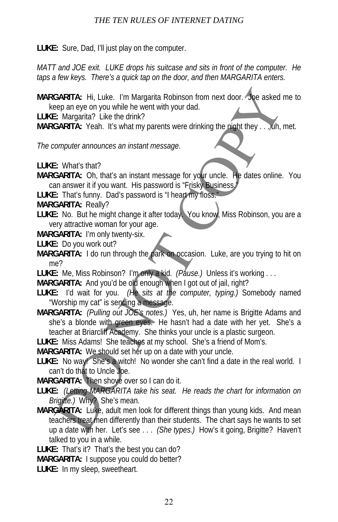**LUKE:** Sure, Dad, I'll just play on the computer.

*MATT and JOE exit. LUKE drops his suitcase and sits in front of the computer. He taps a few keys. There's a quick tap on the door, and then MARGARITA enters.*

**MARGARITA:** Hi, Luke. I'm Margarita Robinson from next door. Joe asked me to keep an eye on you while he went with your dad.

**LUKE:** Margarita? Like the drink?

**MARGARITA:** Yeah. It's what my parents were drinking the night they . . . uh, met.

*The computer announces an instant message.*

**LUKE:** What's that?

- **MARGARITA:** Oh, that's an instant message for your uncle. He dates online. You can answer it if you want. His password is "Frisky Business.
- **LUKE:** That's funny. Dad's password is "I heart my floss."
- **MARGARITA:** Really?
- **LUKE:** No. But he might change it after today. You know, Miss Robinson, you are a very attractive woman for your age.
- **MARGARITA:** I'm only twenty-six.
- **LUKE:** Do you work out?
- **MARGARITA:** I do run through the park on occasion. Luke, are you trying to hit on me?
- **LUKE:** Me, Miss Robinson? I'm only a kid. *(Pause.)* Unless it's working . . .

**MARGARITA:** And you'd be old enough when I got out of jail, right?

- **LUKE:** I'd wait for you. *(He sits at the computer, typing.)* Somebody named "Worship my cat" is sending a message.
- **MARGARITA:** *(Pulling out JOE's notes.)* Yes, uh, her name is Brigitte Adams and she's a blonde with green eyes. He hasn't had a date with her yet. She's a teacher at Briarcliff Academy. She thinks your uncle is a plastic surgeon.

**LUKE:** Miss Adams! She teaches at my school. She's a friend of Mom's.

**MARGARITA:** We should set her up on a date with your uncle.

LUKE: No way! She's a witch! No wonder she can't find a date in the real world. I can't do that to Uncle Joe.

**MARGARITA:** Then shove over so I can do it.

- **LUKE:** *(Letting MARGARITA take his seat. He reads the chart for information on Brigitte.)* Why? She's mean.
- **MARGARITA:** Luke, adult men look for different things than young kids. And mean teachers treat men differently than their students. The chart says he wants to set up a date with her. Let's see . . . *(She types.)* How's it going, Brigitte? Haven't talked to you in a while. GARITA: Hi, Luke. I'm Margarita Robinson from next door. Joe asked is: Margarita? Like the dink?<br>
EST Amagnita? Like the dink?<br>
GARITA: Yeah. It's what my parents were drinking the night they . . . .0th,<br>
CGARITA: Yeah. It

**LUKE:** That's it? That's the best you can do?

**MARGARITA:** I suppose you could do better?

**LUKE:** In my sleep, sweetheart.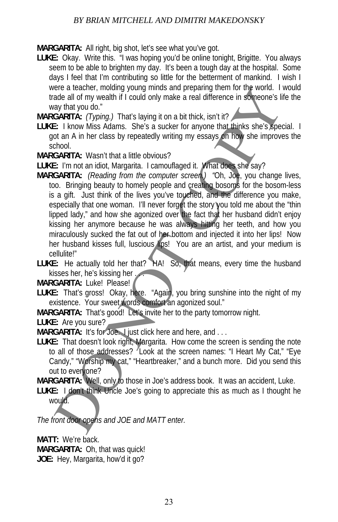## *BY BRIAN MITCHELL AND DIMITRI MAKEDONSKY*

**MARGARITA:** All right, big shot, let's see what you've got.

**LUKE:** Okay. Write this. "I was hoping you'd be online tonight, Brigitte. You always seem to be able to brighten my day. It's been a tough day at the hospital. Some days I feel that I'm contributing so little for the betterment of mankind. I wish I were a teacher, molding young minds and preparing them for the world. I would trade all of my wealth if I could only make a real difference in someone's life the way that you do."

**MARGARITA:** *(Typing.)* That's laying it on a bit thick, isn't it?

- **LUKE:** I know Miss Adams. She's a sucker for anyone that thinks she's special. I got an A in her class by repeatedly writing my essays on how she improves the school.
- **MARGARITA:** Wasn't that a little obvious?
- **LUKE:** I'm not an idiot, Margarita. I camouflaged it. What does she say?
- **MARGARITA:** *(Reading from the computer screen.) "*Oh, Joe, you change lives, too. Bringing beauty to homely people and creating bosoms for the bosom-less is a gift. Just think of the lives you've touched, and the difference you make, especially that one woman. I'll never forget the story you told me about the "thin lipped lady," and how she agonized over the fact that her husband didn't enjoy kissing her anymore because he was always hitting her teeth, and how you miraculously sucked the fat out of her bottom and injected it into her lips! Now her husband kisses full, luscious lips! You are an artist, and your medium is cellulite!" ere a leadiner, minulay ground minis and preparamy unerest and a did for every intervent in the word. The same of the space of the space of the space of the space of the space of the space of the space of the space of the

**LUKE:** He actually told her that? HA! So, that means, every time the husband kisses her, he's kissing her

**MARGARITA:** Luke! Please!

**LUKE:** That's gross! Okay, here. "Again, you bring sunshine into the night of my existence. Your sweet words comfort an agonized soul."

**MARGARITA:** That's good! Let's invite her to the party tomorrow night.

**LUKE:** Are you sure?

**MARGARITA:** It's for Joe. I just click here and here, and ...

**LUKE:** That doesn't look right, Margarita. How come the screen is sending the note to all of those addresses? Look at the screen names: "I Heart My Cat," "Eye Candy," "Worship my cat," "Heartbreaker," and a bunch more. Did you send this out to everyone?

**MARGARITA:** Well, only to those in Joe's address book. It was an accident, Luke.

**LUKE:** I don't think Uncle Joe's going to appreciate this as much as I thought he would.

*The front door opens and JOE and MATT enter.*

**MATT:** We're back. **MARGARITA:** Oh, that was quick! **JOE:** Hey, Margarita, how'd it go?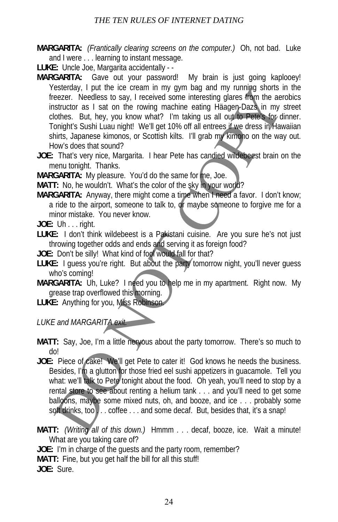- **MARGARITA:** *(Frantically clearing screens on the computer.)* Oh, not bad. Luke and I were . . . learning to instant message.
- **LUKE:** Uncle Joe, Margarita accidentally -
- MARGARITA: Gave out your password! My brain is just going kaplooey! Yesterday, I put the ice cream in my gym bag and my running shorts in the freezer. Needless to say, I received some interesting glares from the aerobics instructor as I sat on the rowing machine eating Häagen-Dazs in my street clothes. But, hey, you know what? I'm taking us all out to Pete's for dinner. Tonight's Sushi Luau night! We'll get 10% off all entrees if we dress in Hawaiian shirts, Japanese kimonos, or Scottish kilts. I'll grab my kimono on the way out. How's does that sound? esercial, primaring symbol and the interesting glares from the energy yinds and in yinding shows the energy in the constructor as 1 sat on the rowing machine eating Haagep-Daz's in my other. But, hey, you know what? I'm ta
- **JOE:** That's very nice, Margarita. I hear Pete has candied wildebeest brain on the menu tonight. Thanks.

**MARGARITA:** My pleasure. You'd do the same for me, Joe.

**MATT:** No, he wouldn't. What's the color of the sky in your world?

- **MARGARITA:** Anyway, there might come a time when I need a favor. I don't know; a ride to the airport, someone to talk to, or maybe someone to forgive me for a minor mistake. You never know.
- **JOE:** Uh . . . right.
- **LUKE:** I don't think wildebeest is a Pakistani cuisine. Are you sure he's not just throwing together odds and ends and serving it as foreign food?
- **JOE:** Don't be silly! What kind of fool would fall for that?
- **LUKE:** I guess you're right. But about the party tomorrow night, you'll never guess who's coming!
- **MARGARITA:** Uh, Luke? I need you to help me in my apartment. Right now. My grease trap overflowed this morning.

**LUKE:** Anything for you, Miss Robinson.

*LUKE and MARGARITA exit.*

- **MATT:** Say, Joe, I'm a little nervous about the party tomorrow. There's so much to do!
- **JOE:** Piece of cake! We'll get Pete to cater it! God knows he needs the business. Besides, I'm a glutton for those fried eel sushi appetizers in guacamole. Tell you what: we'll talk to Pete tonight about the food. Oh yeah, you'll need to stop by a rental store to see about renting a helium tank . . . and you'll need to get some balloons, maybe some mixed nuts, oh, and booze, and ice . . . probably some soft drinks, too ... coffee ... and some decaf. But, besides that, it's a snap!
- **MATT:** *(Writing all of this down.)* Hmmm . . . decaf, booze, ice. Wait a minute! What are you taking care of?

**JOE:** I'm in charge of the guests and the party room, remember? **MATT:** Fine, but you get half the bill for all this stuff!

**JOE:** Sure.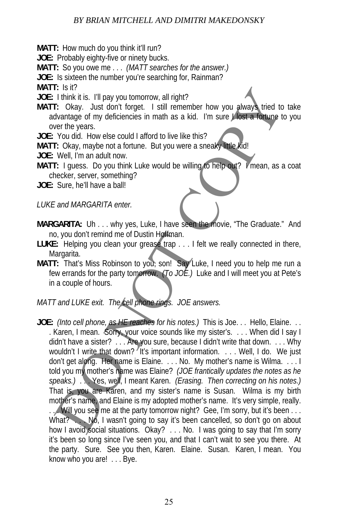## *BY BRIAN MITCHELL AND DIMITRI MAKEDONSKY*

**MATT:** How much do you think it'll run?

**JOE:** Probably eighty-five or ninety bucks.

**MATT:** So you owe me . . . *(MATT searches for the answer.)*

**JOE:** Is sixteen the number you're searching for, Rainman?

**MATT:** Is it?

**JOE:** I think it is. I'll pay you tomorrow, all right?

**MATT:** Okay. Just don't forget. I still remember how you always tried to take advantage of my deficiencies in math as a kid. I'm sure I lost a fortune to you over the years.

**JOE:** You did. How else could I afford to live like this?

**MATT:** Okay, maybe not a fortune. But you were a sneaky little kid!

**JOE:** Well, I'm an adult now.

**MATT:** I guess. Do you think Luke would be willing to help out? I mean, as a coat checker, server, something?

**JOE:** Sure, he'll have a ball!

*LUKE and MARGARITA enter.*

**MARGARITA:** Uh . . . why yes, Luke, I have seen the movie, "The Graduate." And no, you don't remind me of Dustin Hoffman.

**LUKE:** Helping you clean your grease trap . . . I felt we really connected in there, Margarita.

**MATT:** That's Miss Robinson to you, son! Say Luke, I need you to help me run a few errands for the party tomorrow. *(To JOE.)* Luke and I will meet you at Pete's in a couple of hours.

*MATT and LUKE exit. The cell phone rings. JOE answers.*

**JOE:** *(Into cell phone, as HE reaches for his notes.)* This is Joe. . . Hello, Elaine. . . . Karen, I mean. Sorry, your voice sounds like my sister's. . . . When did I say I didn't have a sister? . . . Are you sure, because I didn't write that down. . . . Why wouldn't I write that down?  $\sqrt[n]{t}$  it's important information. . . . Well, I do. We just don't get along. Her name is Elaine. . . . No. My mother's name is Wilma. . . . I told you my mother's name was Elaine? *(JOE frantically updates the notes as he speaks.)* . . . Yes, well, I meant Karen. *(Erasing. Then correcting on his notes.)*  That is, you are Karen, and my sister's name is Susan. Wilma is my birth mother's name, and Elaine is my adopted mother's name. It's very simple, really. ... Will you see me at the party tomorrow night? Gee, I'm sorry, but it's been ... What? No, I wasn't going to say it's been cancelled, so don't go on about how I avoid social situations. Okay? . . . No. I was going to say that I'm sorry it's been so long since I've seen you, and that I can't wait to see you there. At the party. Sure. See you then, Karen. Elaine. Susan. Karen, I mean. You know who you are! . . . Bye. I: Suite its. If pay you tomorrow, all right?<br>
I: think it is. If pay you tomorrow, all right?<br>
I: Cokay. Just dont forget. I still remember how you always tried to<br>
the mate of my deficiencies in math as a kid. I'm sure i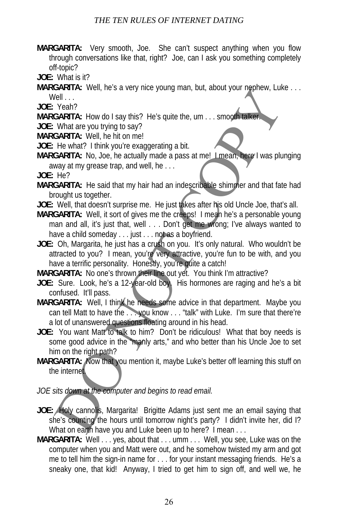- **MARGARITA:** Very smooth, Joe. She can't suspect anything when you flow through conversations like that, right? Joe, can I ask you something completely off-topic?
- **JOE:** What is it?
- **MARGARITA:** Well, he's a very nice young man, but, about your nephew, Luke . . . Well . . .

**JOE:** Yeah?

**MARGARITA:** How do I say this? He's quite the, um . . . smooth talker.

**JOE:** What are you trying to say?

**MARGARITA:** Well, he hit on me!

- **JOE:** He what? I think you're exaggerating a bit.
- **MARGARITA:** No, Joe, he actually made a pass at me! I mean, here I was plunging away at my grease trap, and well, he . . .

**JOE:** He?

- **MARGARITA:** He said that my hair had an indescribable shimmer and that fate had brought us together.
- **JOE:** Well, that doesn't surprise me. He just takes after his old Uncle Joe, that's all.
- **MARGARITA:** Well, it sort of gives me the creeps! I mean he's a personable young man and all, it's just that, well . . . Don't get me wrong; I've always wanted to have a child someday . . . just . . . not as a boyfriend.
- **JOE:** Oh, Margarita, he just has a crush on you. It's only natural. Who wouldn't be attracted to you? I mean, you're very attractive, you're fun to be with, and you have a terrific personality. Honestly, you're quite a catch!

**MARGARITA:** No one's thrown their line out yet. You think I'm attractive?

- **JOE:** Sure. Look, he's a 12-year-old boy. His hormones are raging and he's a bit confused. It'll pass.
- **MARGARITA:** Well, I think he needs some advice in that department. Maybe you can tell Matt to have the . . . you know . . . "talk" with Luke. I'm sure that there're a lot of unanswered questions floating around in his head.
- **JOE:** You want Matt to talk to him? Don't be ridiculous! What that boy needs is some good advice in the "manly arts," and who better than his Uncle Joe to set him on the right path? SHANTA: well, nes a very like going man, but, about your nephew, Luke<br>
Yeah?<br>
Yeah?<br>
Yeah?<br>
What are you trying to say?<br>
What are you trying to say?<br>
What are you trying to say?<br>
What are you trying to say?<br>
What are you t
- **MARGARITA:** Now that you mention it, maybe Luke's better off learning this stuff on the internet.

*JOE sits down at the computer and begins to read email.*

- **JOE:** Holy cannolis, Margarita! Brigitte Adams just sent me an email saying that she's counting the hours until tomorrow night's party? I didn't invite her, did I? What on earth have you and Luke been up to here? I mean . . .
- **MARGARITA:** Well . . . yes, about that . . . umm . . . Well, you see, Luke was on the computer when you and Matt were out, and he somehow twisted my arm and got me to tell him the sign-in name for . . . for your instant messaging friends. He's a sneaky one, that kid! Anyway, I tried to get him to sign off, and well we, he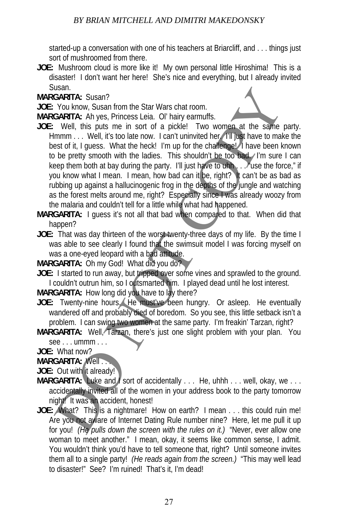started-up a conversation with one of his teachers at Briarcliff, and . . . things just sort of mushroomed from there.

**JOE:** Mushroom cloud is more like it! My own personal little Hiroshima! This is a disaster! I don't want her here! She's nice and everything, but I already invited Susan.

**MARGARITA:** Susan?

**JOE:** You know, Susan from the Star Wars chat room.

**MARGARITA:** Ah yes, Princess Leia. Ol' hairy earmuffs.

- **JOE:** Well, this puts me in sort of a pickle! Two women at the same party. Hmmm . . . Well, it's too late now. I can't uninvited her. I'll just have to make the best of it, I guess. What the heck! I'm up for the challenge! I have been known to be pretty smooth with the ladies. This shouldn't be too bad. I'm sure I can keep them both at bay during the party. I'll just have to uhh . . . "use the force," if you know what I mean. I mean, how bad can it be, right? It can't be as bad as rubbing up against a hallucinogenic frog in the depths of the jungle and watching as the forest melts around me, right? Especially since I was already woozy from the malaria and couldn't tell for a little while what had happened. usan:<br>
Well, this yes, Princess Leia. Ol'hairy earmulfis.<br>
GARITA: Susan?<br>
You know, Susan from the Star Wars chat room.<br>
Well, this yests me in sort of a pickle! Two women at the same<br>
stest of it, I guess. What the heed!
- **MARGARITA:** I guess it's not all that bad when compared to that. When did that happen?
- **JOE:** That was day thirteen of the worst twenty-three days of my life. By the time I was able to see clearly I found that the swimsuit model I was forcing myself on was a one-eyed leopard with a bad attitude.

**MARGARITA:** Oh my God! What did you do?

**JOE:** I started to run away, but tripped over some vines and sprawled to the ground. I couldn't outrun him, so I outsmarted him. I played dead until he lost interest.

**MARGARITA:** How long did you have to lay there?

- JOE: Twenty-nine hours. He must've been hungry. Or asleep. He eventually wandered off and probably died of boredom. So you see, this little setback isn't a problem. I can swing two women at the same party. I'm freakin' Tarzan, right?
- **MARGARITA:** Well, Tarzan, there's just one slight problem with your plan. You see . . . ummm . . .
- **JOE:** What now?

**MARGARITA: Well.** 

**JOE:** Out with it already!

- **MARGARITA:** Luke and *I* sort of accidentally . . . He, uhhh . . . well, okay, we . . . accidentally invited all of the women in your address book to the party tomorrow night! It was an accident, honest!
- **JOE:** What? This is a nightmare! How on earth? I mean . . . this could ruin me! Are you not aware of Internet Dating Rule number nine? Here, let me pull it up for you! *(He pulls down the screen with the rules on it.)* "Never, ever allow one woman to meet another." I mean, okay, it seems like common sense, I admit. You wouldn't think you'd have to tell someone that, right? Until someone invites them all to a single party! *(He reads again from the screen.)* "This may well lead to disaster!" See? I'm ruined! That's it, I'm dead!